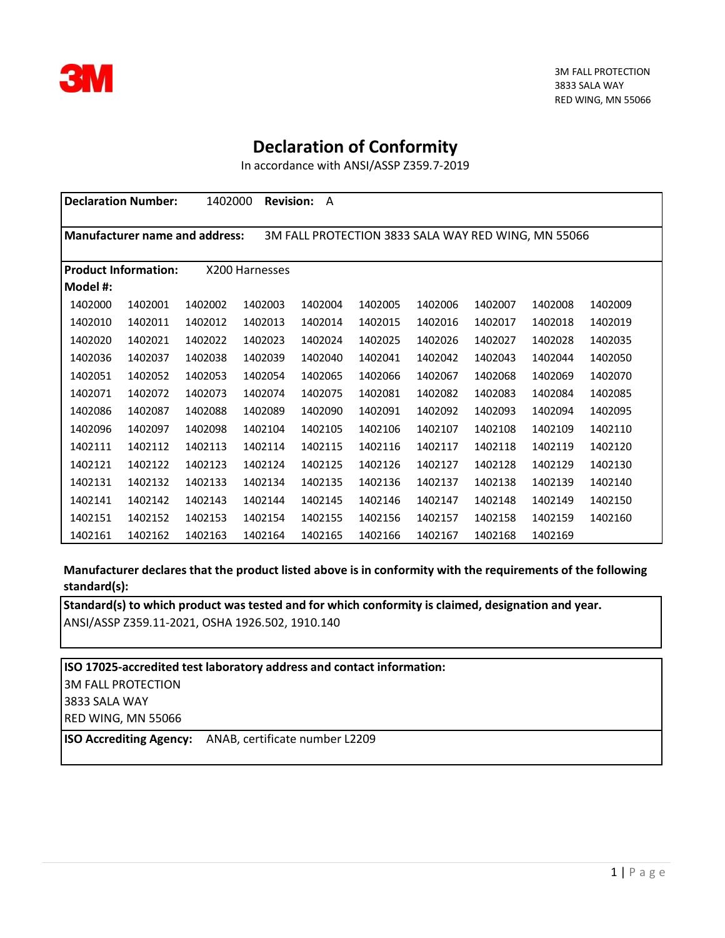

## **Declaration of Conformity**

In accordance with ANSI/ASSP Z359.7-2019

|          | <b>Declaration Number:</b>                                                            | 1402000 | <b>Revision:</b> | A       |         |         |         |         |         |
|----------|---------------------------------------------------------------------------------------|---------|------------------|---------|---------|---------|---------|---------|---------|
|          |                                                                                       |         |                  |         |         |         |         |         |         |
|          | Manufacturer name and address:<br>3M FALL PROTECTION 3833 SALA WAY RED WING, MN 55066 |         |                  |         |         |         |         |         |         |
|          |                                                                                       |         |                  |         |         |         |         |         |         |
|          | <b>Product Information:</b>                                                           |         | X200 Harnesses   |         |         |         |         |         |         |
| Model #: |                                                                                       |         |                  |         |         |         |         |         |         |
| 1402000  | 1402001                                                                               | 1402002 | 1402003          | 1402004 | 1402005 | 1402006 | 1402007 | 1402008 | 1402009 |
| 1402010  | 1402011                                                                               | 1402012 | 1402013          | 1402014 | 1402015 | 1402016 | 1402017 | 1402018 | 1402019 |
| 1402020  | 1402021                                                                               | 1402022 | 1402023          | 1402024 | 1402025 | 1402026 | 1402027 | 1402028 | 1402035 |
| 1402036  | 1402037                                                                               | 1402038 | 1402039          | 1402040 | 1402041 | 1402042 | 1402043 | 1402044 | 1402050 |
| 1402051  | 1402052                                                                               | 1402053 | 1402054          | 1402065 | 1402066 | 1402067 | 1402068 | 1402069 | 1402070 |
| 1402071  | 1402072                                                                               | 1402073 | 1402074          | 1402075 | 1402081 | 1402082 | 1402083 | 1402084 | 1402085 |
| 1402086  | 1402087                                                                               | 1402088 | 1402089          | 1402090 | 1402091 | 1402092 | 1402093 | 1402094 | 1402095 |
| 1402096  | 1402097                                                                               | 1402098 | 1402104          | 1402105 | 1402106 | 1402107 | 1402108 | 1402109 | 1402110 |
| 1402111  | 1402112                                                                               | 1402113 | 1402114          | 1402115 | 1402116 | 1402117 | 1402118 | 1402119 | 1402120 |
| 1402121  | 1402122                                                                               | 1402123 | 1402124          | 1402125 | 1402126 | 1402127 | 1402128 | 1402129 | 1402130 |
| 1402131  | 1402132                                                                               | 1402133 | 1402134          | 1402135 | 1402136 | 1402137 | 1402138 | 1402139 | 1402140 |
| 1402141  | 1402142                                                                               | 1402143 | 1402144          | 1402145 | 1402146 | 1402147 | 1402148 | 1402149 | 1402150 |
| 1402151  | 1402152                                                                               | 1402153 | 1402154          | 1402155 | 1402156 | 1402157 | 1402158 | 1402159 | 1402160 |
| 1402161  | 1402162                                                                               | 1402163 | 1402164          | 1402165 | 1402166 | 1402167 | 1402168 | 1402169 |         |

**Manufacturer declares that the product listed above is in conformity with the requirements of the following standard(s):**

**Standard(s) to which product was tested and for which conformity is claimed, designation and year.** ANSI/ASSP Z359.11-2021, OSHA 1926.502, 1910.140

**ISO 17025-accredited test laboratory address and contact information:** 3M FALL PROTECTION 3833 SALA WAY RED WING, MN 55066

**ISO Accrediting Agency:** ANAB, certificate number L2209